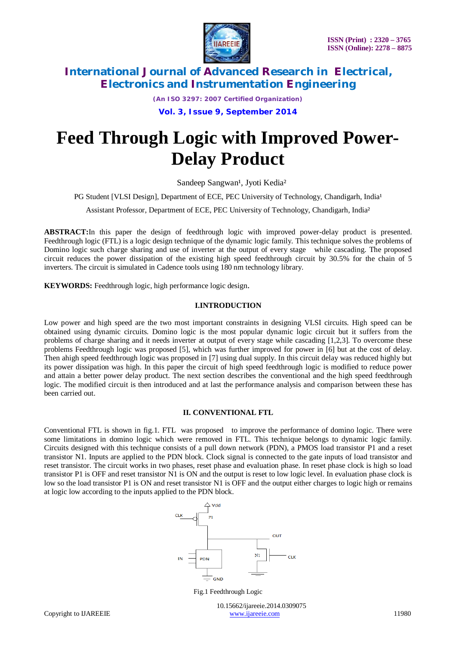

*(An ISO 3297: 2007 Certified Organization)*

**Vol. 3, Issue 9, September 2014**

# **Feed Through Logic with Improved Power-Delay Product**

Sandeep Sangwan<sup>1</sup>, Jyoti Kedia<sup>2</sup>

PG Student [VLSI Design], Department of ECE, PEC University of Technology, Chandigarh, India<sup>1</sup>

Assistant Professor, Department of ECE, PEC University of Technology, Chandigarh, India²

**ABSTRACT:**In this paper the design of feedthrough logic with improved power-delay product is presented. Feedthrough logic (FTL) is a logic design technique of the dynamic logic family. This technique solves the problems of Domino logic such charge sharing and use of inverter at the output of every stage while cascading. The proposed circuit reduces the power dissipation of the existing high speed feedthrough circuit by 30.5% for the chain of 5 inverters. The circuit is simulated in Cadence tools using 180 nm technology library.

**KEYWORDS:** Feedthrough logic, high performance logic design.

### **I.INTRODUCTION**

Low power and high speed are the two most important constraints in designing VLSI circuits. High speed can be obtained using dynamic circuits. Domino logic is the most popular dynamic logic circuit but it suffers from the problems of charge sharing and it needs inverter at output of every stage while cascading [1,2,3]. To overcome these problems Feedthrough logic was proposed [5], which was further improved for power in [6] but at the cost of delay. Then ahigh speed feedthrough logic was proposed in [7] using dual supply. In this circuit delay was reduced highly but its power dissipation was high. In this paper the circuit of high speed feedthrough logic is modified to reduce power and attain a better power delay product. The next section describes the conventional and the high speed feedthrough logic. The modified circuit is then introduced and at last the performance analysis and comparison between these has been carried out.

### **II. CONVENTIONAL FTL**

Conventional FTL is shown in fig.1. FTL was proposed to improve the performance of domino logic. There were some limitations in domino logic which were removed in FTL. This technique belongs to dynamic logic family. Circuits designed with this technique consists of a pull down network (PDN), a PMOS load transistor P1 and a reset transistor N1. Inputs are applied to the PDN block. Clock signal is connected to the gate inputs of load transistor and reset transistor. The circuit works in two phases, reset phase and evaluation phase. In reset phase clock is high so load transistor P1 is OFF and reset transistor N1 is ON and the output is reset to low logic level. In evaluation phase clock is low so the load transistor P1 is ON and reset transistor N1 is OFF and the output either charges to logic high or remains at logic low according to the inputs applied to the PDN block.



Fig.1 Feedthrough Logic

 10.15662/ijareeie.2014.0309075 Copyright to IJAREEIE www.ijareeie.com 11980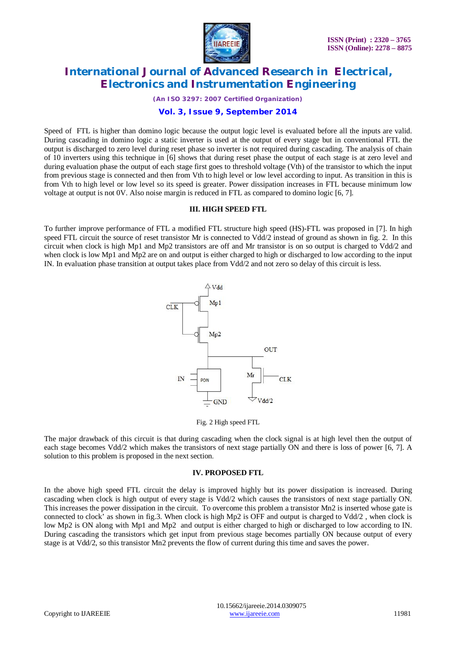

*(An ISO 3297: 2007 Certified Organization)*

### **Vol. 3, Issue 9, September 2014**

Speed of FTL is higher than domino logic because the output logic level is evaluated before all the inputs are valid. During cascading in domino logic a static inverter is used at the output of every stage but in conventional FTL the output is discharged to zero level during reset phase so inverter is not required during cascading. The analysis of chain of 10 inverters using this technique in [6] shows that during reset phase the output of each stage is at zero level and during evaluation phase the output of each stage first goes to threshold voltage (Vth) of the transistor to which the input from previous stage is connected and then from Vth to high level or low level according to input. As transition in this is from Vth to high level or low level so its speed is greater. Power dissipation increases in FTL because minimum low voltage at output is not 0V. Also noise margin is reduced in FTL as compared to domino logic [6, 7].

### **III. HIGH SPEED FTL**

To further improve performance of FTL a modified FTL structure high speed (HS)-FTL was proposed in [7]. In high speed FTL circuit the source of reset transistor Mr is connected to Vdd/2 instead of ground as shown in fig. 2. In this circuit when clock is high Mp1 and Mp2 transistors are off and Mr transistor is on so output is charged to Vdd/2 and when clock is low Mp1 and Mp2 are on and output is either charged to high or discharged to low according to the input IN. In evaluation phase transition at output takes place from Vdd/2 and not zero so delay of this circuit is less.





The major drawback of this circuit is that during cascading when the clock signal is at high level then the output of each stage becomes Vdd/2 which makes the transistors of next stage partially ON and there is loss of power [6, 7]. A solution to this problem is proposed in the next section.

### **IV. PROPOSED FTL**

In the above high speed FTL circuit the delay is improved highly but its power dissipation is increased. During cascading when clock is high output of every stage is Vdd/2 which causes the transistors of next stage partially ON. This increases the power dissipation in the circuit. To overcome this problem a transistor Mn2 is inserted whose gate is connected to clock' as shown in fig.3. When clock is high Mp2 is OFF and output is charged to Vdd/2 , when clock is low Mp2 is ON along with Mp1 and Mp2 and output is either charged to high or discharged to low according to IN. During cascading the transistors which get input from previous stage becomes partially ON because output of every stage is at Vdd/2, so this transistor Mn2 prevents the flow of current during this time and saves the power.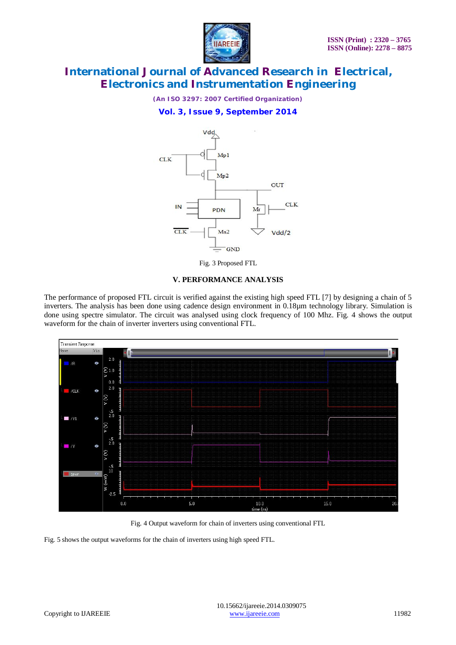

*(An ISO 3297: 2007 Certified Organization)*

### **Vol. 3, Issue 9, September 2014**



Fig. 3 Proposed FTL

### **V. PERFORMANCE ANALYSIS**

The performance of proposed FTL circuit is verified against the existing high speed FTL [7] by designing a chain of 5 inverters. The analysis has been done using cadence design environment in 0.18µm technology library. Simulation is done using spectre simulator. The circuit was analysed using clock frequency of 100 Mhz. Fig. 4 shows the output waveform for the chain of inverter inverters using conventional FTL.



Fig. 4 Output waveform for chain of inverters using conventional FTL

Fig. 5 shows the output waveforms for the chain of inverters using high speed FTL.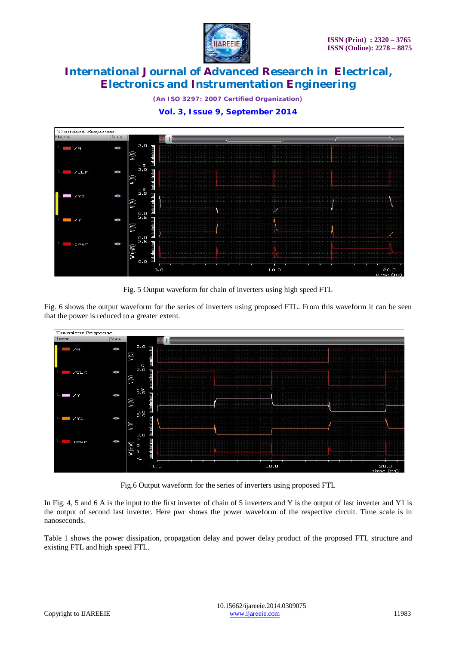

*(An ISO 3297: 2007 Certified Organization)*





Fig. 5 Output waveform for chain of inverters using high speed FTL

Fig. 6 shows the output waveform for the series of inverters using proposed FTL. From this waveform it can be seen that the power is reduced to a greater extent.



Fig.6 Output waveform for the series of inverters using proposed FTL

In Fig. 4, 5 and 6 A is the input to the first inverter of chain of 5 inverters and Y is the output of last inverter and Y1 is the output of second last inverter. Here pwr shows the power waveform of the respective circuit. Time scale is in nanoseconds.

Table 1 shows the power dissipation, propagation delay and power delay product of the proposed FTL structure and existing FTL and high speed FTL.